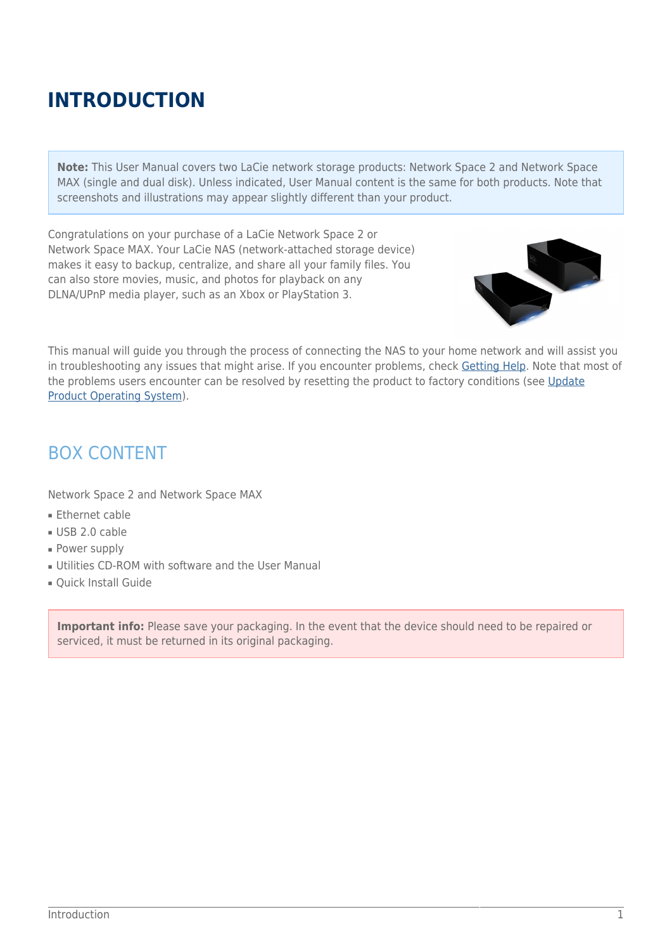# **INTRODUCTION**

**Note:** This User Manual covers two LaCie network storage products: Network Space 2 and Network Space MAX (single and dual disk). Unless indicated, User Manual content is the same for both products. Note that screenshots and illustrations may appear slightly different than your product.

Congratulations on your purchase of a LaCie Network Space 2 or Network Space MAX. Your LaCie NAS (network-attached storage device) makes it easy to backup, centralize, and share all your family files. You can also store movies, music, and photos for playback on any DLNA/UPnP media player, such as an Xbox or PlayStation 3.



This manual will guide you through the process of connecting the NAS to your home network and will assist you in troubleshooting any issues that might arise. If you encounter problems, check [Getting Help](http://manuals.lacie.com/en/manuals/ns2-nsmax/help). Note that most of the problems users encounter can be resolved by resetting the product to factory conditions (see [Update](http://manuals.lacie.com/en/manuals/ns2-nsmax/update) [Product Operating System](http://manuals.lacie.com/en/manuals/ns2-nsmax/update)).

### BOX CONTENT

Network Space 2 and Network Space MAX

- Ethernet cable
- USB 2.0 cable
- Power supply
- Utilities CD-ROM with software and the User Manual
- Quick Install Guide

**Important info:** Please save your packaging. In the event that the device should need to be repaired or serviced, it must be returned in its original packaging.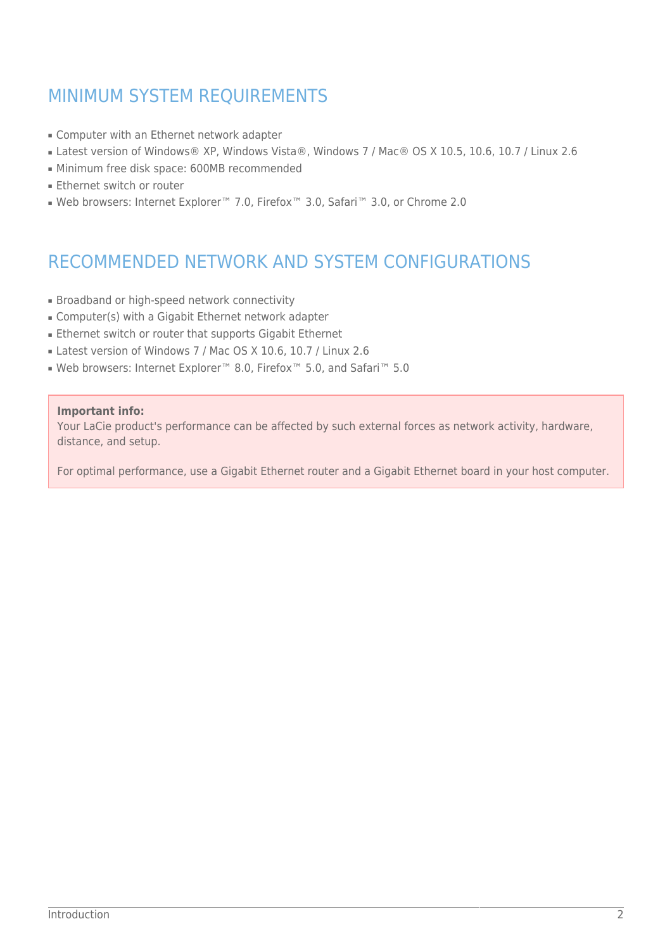### MINIMUM SYSTEM REQUIREMENTS

- Computer with an Ethernet network adapter
- Latest version of Windows® XP, Windows Vista®, Windows 7 / Mac® OS X 10.5, 10.6, 10.7 / Linux 2.6
- Minimum free disk space: 600MB recommended
- Ethernet switch or router
- Web browsers: Internet Explorer™ 7.0, Firefox™ 3.0, Safari™ 3.0, or Chrome 2.0

## RECOMMENDED NETWORK AND SYSTEM CONFIGURATIONS

- Broadband or high-speed network connectivity
- Computer(s) with a Gigabit Ethernet network adapter
- Ethernet switch or router that supports Gigabit Ethernet
- Latest version of Windows 7 / Mac OS X 10.6, 10.7 / Linux 2.6
- Web browsers: Internet Explorer™ 8.0, Firefox™ 5.0, and Safari™ 5.0

#### **Important info:**

Your LaCie product's performance can be affected by such external forces as network activity, hardware, distance, and setup.

For optimal performance, use a Gigabit Ethernet router and a Gigabit Ethernet board in your host computer.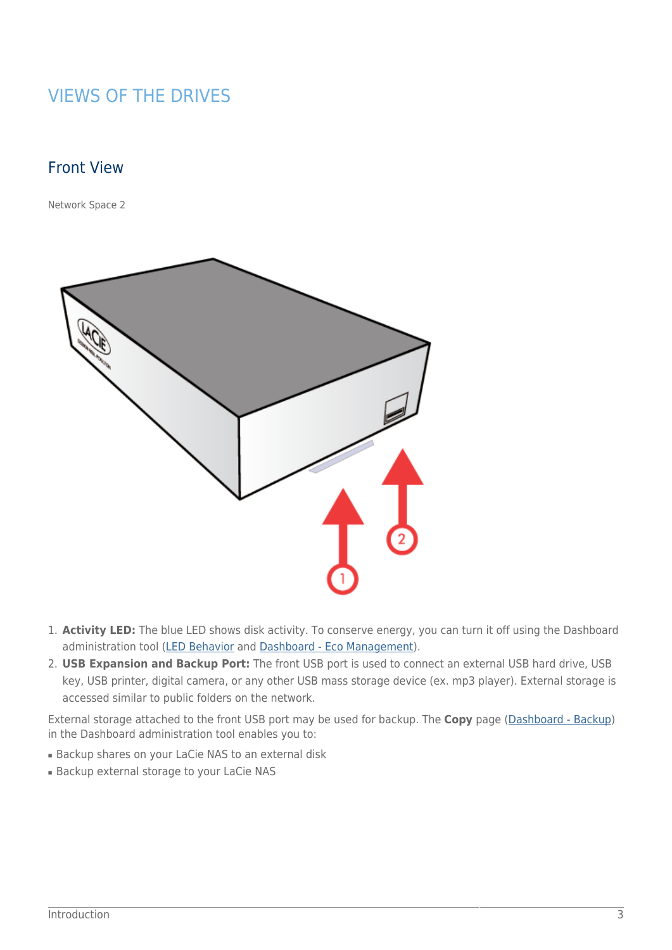### VIEWS OF THE DRIVES

### Front View

[Network Space 2](#page--1-0)



- 1. **Activity LED:** The blue LED shows disk activity. To conserve energy, you can turn it off using the Dashboard administration tool ([LED Behavior](http://manuals.lacie.com/en/manuals/ns2-nsmax/led) and [Dashboard - Eco Management](http://manuals.lacie.com/en/manuals/ns2-nsmax/dashboard#dashboard-eco-management)).
- 2. **USB Expansion and Backup Port:** The front USB port is used to connect an external USB hard drive, USB key, USB printer, digital camera, or any other USB mass storage device (ex. mp3 player). External storage is accessed similar to public folders on the network.

External storage attached to the front USB port may be used for backup. The **Copy** page [\(Dashboard - Backup\)](http://manuals.lacie.com/en/manuals/ns2-nsmax/dashboard#dashboard-backup) in the Dashboard administration tool enables you to:

- Backup shares on your LaCie NAS to an external disk
- Backup external storage to your LaCie NAS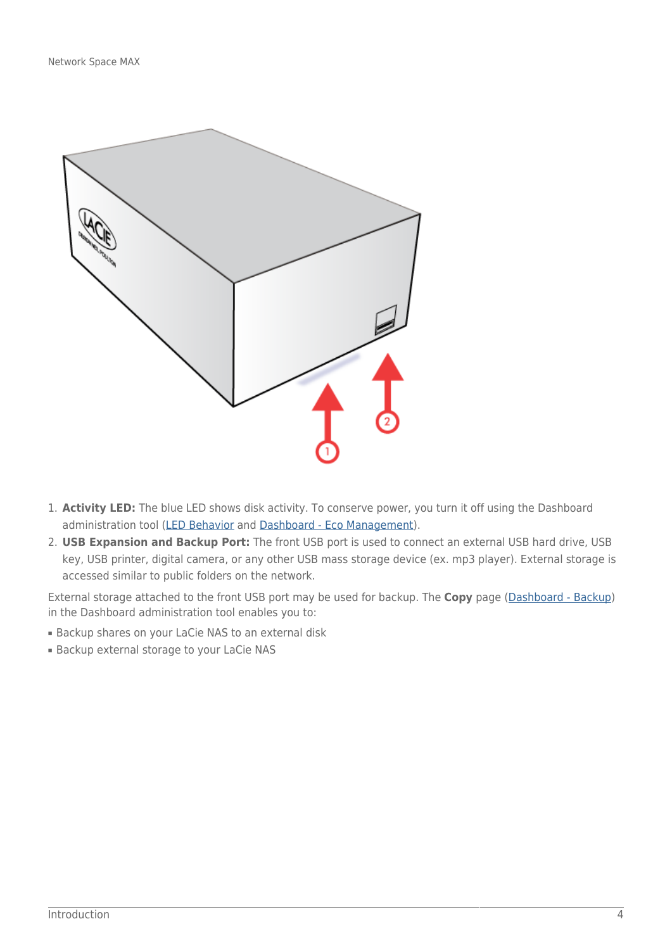

- 1. **Activity LED:** The blue LED shows disk activity. To conserve power, you turn it off using the Dashboard administration tool ([LED Behavior](http://manuals.lacie.com/en/manuals/ns2-nsmax/led) and [Dashboard - Eco Management](http://manuals.lacie.com/en/manuals/ns2-nsmax/dashboard#dashboard-eco-management)).
- 2. **USB Expansion and Backup Port:** The front USB port is used to connect an external USB hard drive, USB key, USB printer, digital camera, or any other USB mass storage device (ex. mp3 player). External storage is accessed similar to public folders on the network.

External storage attached to the front USB port may be used for backup. The **Copy** page [\(Dashboard - Backup\)](http://manuals.lacie.com/en/manuals/ns2-nsmax/dashboard#dashboard-backup) in the Dashboard administration tool enables you to:

- Backup shares on your LaCie NAS to an external disk
- Backup external storage to your LaCie NAS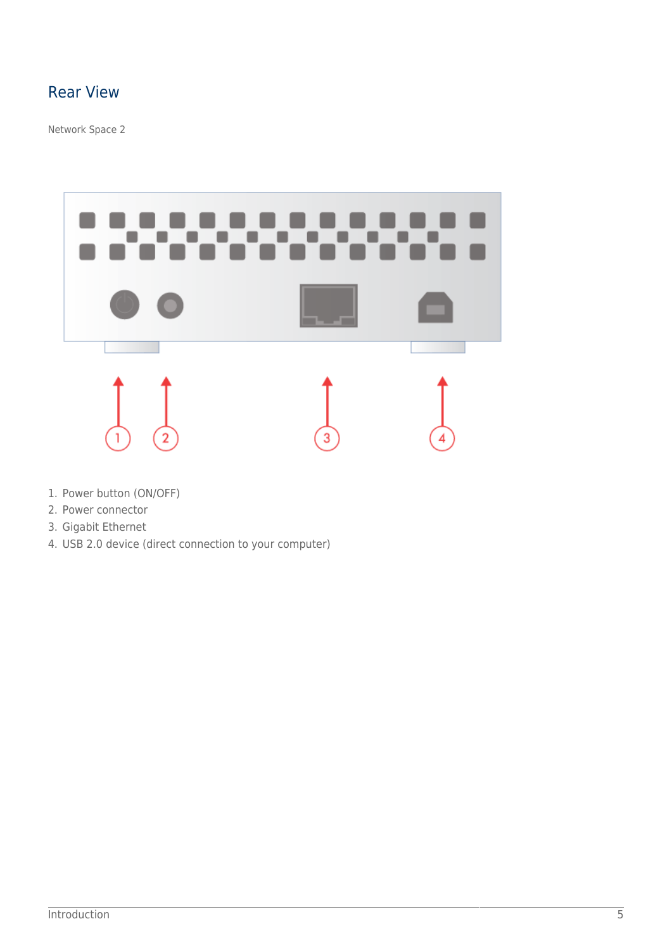### Rear View

[Network Space 2](#page--1-0)



- 1. Power button (ON/OFF)
- 2. Power connector
- 3. Gigabit Ethernet
- 4. USB 2.0 device (direct connection to your computer)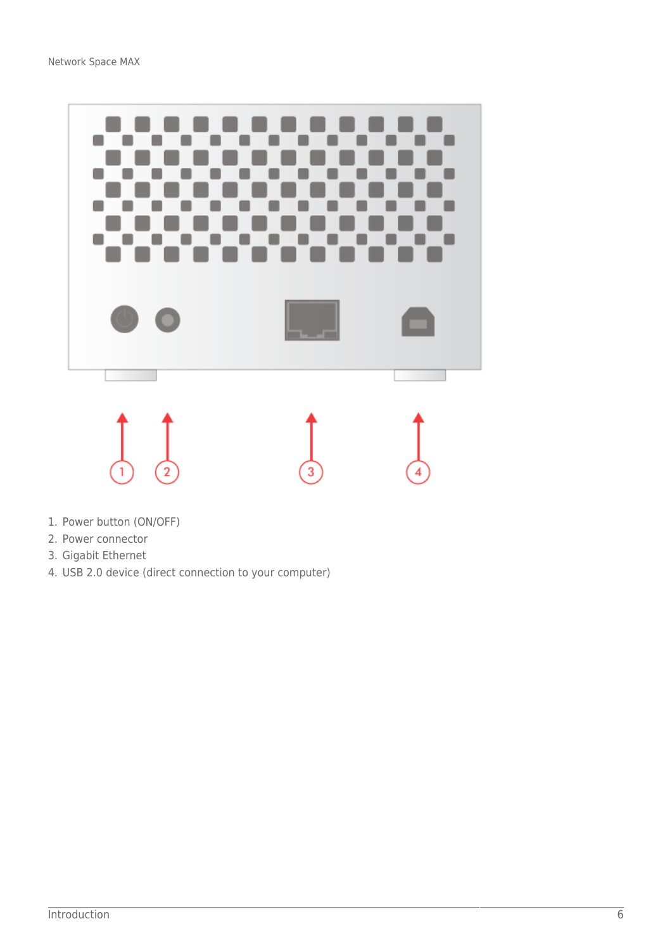

- 1. Power button (ON/OFF)
- 2. Power connector
- 3. Gigabit Ethernet
- 4. USB 2.0 device (direct connection to your computer)